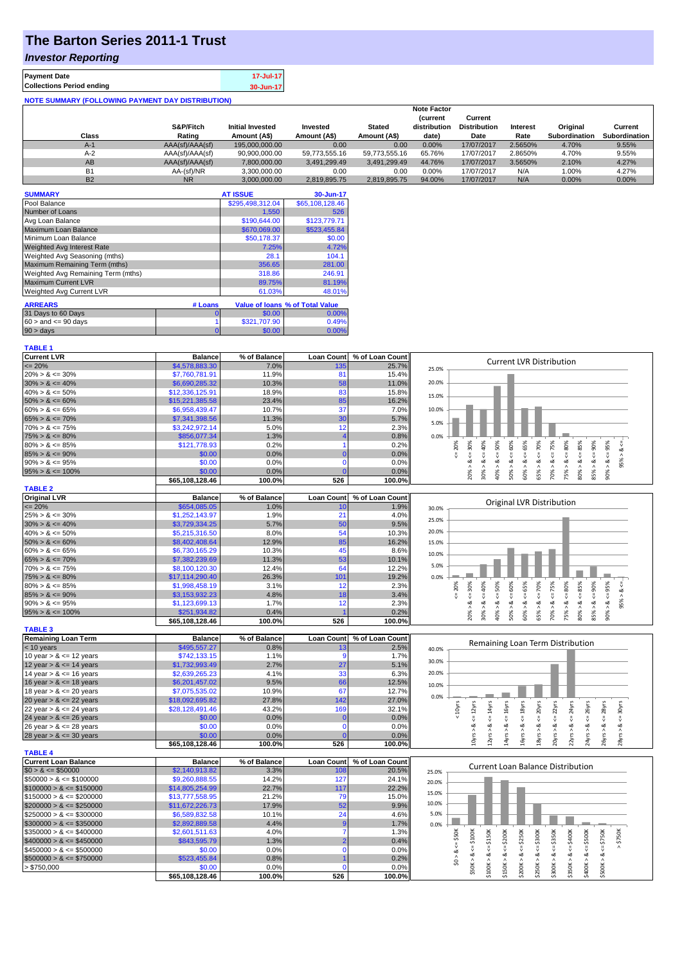# **The Barton Series 2011-1 Trust**

#### *Investor Reporting*

| <b>Payment Date</b>                                      | 17-Jul-17 |
|----------------------------------------------------------|-----------|
| <b>Collections Period ending</b>                         | 30-Jun-17 |
| <b>NOTE SUMMARY (FOLLOWING PAYMENT DAY DISTRIBUTION)</b> |           |

|           | <b>Note Factor</b> |                         |               |               |                                 |                                |          |                      |                      |
|-----------|--------------------|-------------------------|---------------|---------------|---------------------------------|--------------------------------|----------|----------------------|----------------------|
|           | S&P/Fitch          | <b>Initial Invested</b> | Invested      | <b>Stated</b> | <b>(current</b><br>distribution | Current<br><b>Distribution</b> | Interest | Original             | Current              |
| Class     | Rating             | Amount (A\$)            | Amount (A\$)  | Amount (A\$)  | date)                           | Date                           | Rate     | <b>Subordination</b> | <b>Subordination</b> |
| $A-1$     | AAA(sf)/AAA(sf)    | 195.000.000.00          | 0.00          | 0.00          | 0.00%                           | 17/07/2017                     | 2.5650%  | 4.70%                | 9.55%                |
| $A-2$     | AAA(sf)/AAA(sf)    | 90.900.000.00           | 59.773.555.16 | 59.773.555.16 | 65.76%                          | 17/07/2017                     | 2.8650%  | 4.70%                | 9.55%                |
| AB        | AAA(sf)/AAA(sf)    | 7.800.000.00            | 3.491.299.49  | 3.491.299.49  | 44.76%                          | 17/07/2017                     | 3.5650%  | 2.10%                | 4.27%                |
| <b>B1</b> | AA-(sf)/NR         | 3,300,000.00            | 0.00          | 0.00          | $0.00\%$                        | 17/07/2017                     | N/A      | 1.00%                | 4.27%                |
| <b>B2</b> | <b>NR</b>          | 3.000.000.00            | 2.819.895.75  | 2.819.895.75  | 94.00%                          | 17/07/2017                     | N/A      | 0.00%                | 0.00%                |

| <b>SUMMARY</b>                     |         | <b>AT ISSUE</b>  | 30-Jun-17                              |
|------------------------------------|---------|------------------|----------------------------------------|
| Pool Balance                       |         | \$295,498,312.04 | \$65,108,128,46                        |
| Number of Loans                    |         | 1.550            | 526                                    |
| Avg Loan Balance                   |         | \$190,644.00     | \$123,779.71                           |
| Maximum Loan Balance               |         | \$670,069.00     | \$523,455.84                           |
| Minimum Loan Balance               |         | \$50,178.37      | \$0.00                                 |
| <b>Weighted Avg Interest Rate</b>  |         | 7.25%            | 4.72%                                  |
| Weighted Avg Seasoning (mths)      |         | 28.1             | 104.1                                  |
| Maximum Remaining Term (mths)      |         | 356.65           | 281.00                                 |
| Weighted Avg Remaining Term (mths) |         | 318.86           | 246.91                                 |
| <b>Maximum Current LVR</b>         |         | 89.75%           | 81.19%                                 |
| Weighted Avg Current LVR           |         | 61.03%           | 48.01%                                 |
| <b>ARREARS</b>                     | # Loans |                  | <b>Value of loans % of Total Value</b> |

| <b>AILLAID</b>            | $\pi$ Louis |              | Value of Ioans 70 of Total Value |
|---------------------------|-------------|--------------|----------------------------------|
| 31 Days to 60 Days        |             | \$0.00       | $0.00\%$                         |
| $60 >$ and $\leq 90$ davs |             | \$321,707.90 | 0.49%                            |
| 90 > days                 |             | \$0.00       | $0.00\%$                         |

| <b>TABLE 1</b>              |                           |                |                      |                 |                                                                                                                                                                                                                                 |
|-----------------------------|---------------------------|----------------|----------------------|-----------------|---------------------------------------------------------------------------------------------------------------------------------------------------------------------------------------------------------------------------------|
| <b>Current LVR</b>          | <b>Balance</b>            | % of Balance   | <b>Loan Count</b>    | % of Loan Count | <b>Current LVR Distribution</b>                                                                                                                                                                                                 |
| $\leq$ 20%                  | \$4,578,883.30            | 7.0%           | 135                  | 25.7%           | 25.0%                                                                                                                                                                                                                           |
| $20\% > 8 \le 30\%$         | \$7,760,781.91            | 11.9%          | 81                   | 15.4%           |                                                                                                                                                                                                                                 |
| $30\% > 8 \le 40\%$         | \$6,690,285.32            | 10.3%          | 58                   | 11.0%           | 20.0%                                                                                                                                                                                                                           |
| $40\% > 8 \le 50\%$         | \$12,336,125.91           | 18.9%          | 83                   | 15.8%           | 15.0%                                                                                                                                                                                                                           |
| $50\% > 8 \le 60\%$         | \$15,221,385.58           | 23.4%          | 85                   | 16.2%           |                                                                                                                                                                                                                                 |
| $60\% > 8 \le 65\%$         | \$6,958,439.47            | 10.7%          | 37                   | 7.0%            | 10.0%                                                                                                                                                                                                                           |
| $65\% > 8 \le 70\%$         | \$7,341,398.56            | 11.3%          | 30                   | 5.7%            |                                                                                                                                                                                                                                 |
| $70\% > 8 \le 75\%$         | \$3,242,972.14            | 5.0%           | 12                   | 2.3%            | 5.0%                                                                                                                                                                                                                            |
| $75\% > 8 \le 80\%$         | \$856,077.34              | 1.3%           | $\overline{4}$       | 0.8%            | 0.0%                                                                                                                                                                                                                            |
| $80\% > 8 \le 85\%$         | \$121,778.93              | 0.2%           | 1                    | 0.2%            | 80%<br>20%<br>30%<br>40%<br>50%<br>65%                                                                                                                                                                                          |
| $85\% > 8 \le 90\%$         | \$0.00                    | 0.0%           | $\mathbf{0}$         | 0.0%            | ಷ<br>₹                                                                                                                                                                                                                          |
| $90\% > 8 \le 95\%$         | \$0.00                    | 0.0%           | $\mathbf 0$          | 0.0%            | $<=60\%$<br>$<=95\%$<br>$<=$<br>8 < 1<br>$<=$<br>95% > 8<br>8 < 1<br>ವ                                                                                                                                                          |
| $95\% > 8 \le 100\%$        | \$0.00                    | 0.0%           | $\Omega$             | 0.0%            | $65\% > 8 \le 70\%$<br>$70\% > 8 \le x = 75\%$<br>$80\% > 8 <= 85\%$<br>$85% > 8 \leq 90%$<br>40% ><br>50% ><br>75% ><br>$90\%$ $>$<br>20% ><br>$30\% >$<br>60% >                                                               |
|                             | \$65,108,128.46           | 100.0%         | 526                  | 100.0%          |                                                                                                                                                                                                                                 |
| <b>TABLE 2</b>              |                           |                |                      |                 |                                                                                                                                                                                                                                 |
| <b>Original LVR</b>         | <b>Balance</b>            | % of Balance   | <b>Loan Count</b>    | % of Loan Count |                                                                                                                                                                                                                                 |
| $= 20%$                     | \$654,085.05              | 1.0%           | 10                   | 1.9%            | Original LVR Distribution<br>30.0%                                                                                                                                                                                              |
| $25\% > 8 \le 30\%$         | \$1,252,143.97            | 1.9%           | 21                   | 4.0%            |                                                                                                                                                                                                                                 |
| $30\% > 8 \le 40\%$         | \$3,729,334.25            | 5.7%           | 50                   | 9.5%            | 25.0%                                                                                                                                                                                                                           |
| $40\% > 8 \le 50\%$         | \$5,215,316.50            | 8.0%           | 54                   | 10.3%           | 20.0%                                                                                                                                                                                                                           |
| $50\% > 8 \le 60\%$         | \$8,402,408.64            | 12.9%          | 85                   | 16.2%           |                                                                                                                                                                                                                                 |
| $60\% > 8 \le 65\%$         | \$6,730,165.29            | 10.3%          | 45                   | 8.6%            | 15.0%                                                                                                                                                                                                                           |
|                             |                           | 11.3%          |                      |                 | 10.0%                                                                                                                                                                                                                           |
| $65\% > 8 \le 70\%$         | \$7,382,239.69            |                | 53                   | 10.1%           | 5.0%                                                                                                                                                                                                                            |
| $70\% > 8 \le 75\%$         | \$8,100,120.30            | 12.4%          | 64                   | 12.2%           |                                                                                                                                                                                                                                 |
| $75\% > 8 \le 80\%$         | \$17,114,290.40           | 26.3%          | 101                  | 19.2%           | 0.0%                                                                                                                                                                                                                            |
| $80\% > 8 \le 85\%$         | \$1,998,458.19            | 3.1%           | 12                   | 2.3%            | $4 = 30\%$<br>20%                                                                                                                                                                                                               |
| $85\% > 8 \le 90\%$         | \$3,153,932.23            | 4.8%           | 18                   | 3.4%            | $8 \le 40\%$<br>$<=50\%$<br>$<=60\%$<br>$<=75%$<br>$8 - 80%$<br>$8 - 65%$<br>95% > 8<br>쁬                                                                                                                                       |
| $90\% > 8 \le 95\%$         | \$1,123,699.13            | 1.7%           | 12                   | 2.3%            | ಹ                                                                                                                                                                                                                               |
| $95\% > 8 \le 100\%$        | \$251,934.82              | 0.4%           |                      | 0.2%            | $85% > 8 < = 90%$<br>$65\% > 8 \le 70\%$<br>$80\% > 8 <= 85\%$<br>$90\% > 8 \le 95\%$<br>50% ><br>70% ><br>20% ><br>$30\% >$<br>40% ><br>60% ><br>75% >                                                                         |
|                             | \$65,108,128.46           | 100.0%         | 526                  | 100.0%          |                                                                                                                                                                                                                                 |
| <b>TABLE 3</b>              |                           |                |                      |                 |                                                                                                                                                                                                                                 |
| <b>Remaining Loan Term</b>  | <b>Balance</b>            |                |                      | % of Loan Count |                                                                                                                                                                                                                                 |
|                             |                           | % of Balance   | <b>Loan Count</b>    |                 |                                                                                                                                                                                                                                 |
| < 10 years                  | \$495,557.27              | 0.8%           | 13                   | 2.5%            | Remaining Loan Term Distribution<br>40.0%                                                                                                                                                                                       |
| 10 year $> 8 \le 12$ years  | \$742,133.15              | 1.1%           | 9                    | 1.7%            |                                                                                                                                                                                                                                 |
| 12 year $> 8 \le 14$ years  | \$1,732,993.49            | 2.7%           | 27                   | 5.1%            | 30.0%                                                                                                                                                                                                                           |
| 14 year $> 8 \le 16$ years  | \$2,639,265.23            | 4.1%           | 33                   | 6.3%            | 20.0%                                                                                                                                                                                                                           |
| 16 year $> 8 \le 18$ years  | \$6,201,457.02            | 9.5%           | 66                   | 12.5%           | 10.0%                                                                                                                                                                                                                           |
| 18 year $> 8 \le 20$ years  | \$7,075,535.02            | 10.9%          | 67                   | 12.7%           |                                                                                                                                                                                                                                 |
| 20 year $> 8 \le 22$ years  | \$18,092,695.82           | 27.8%          | 142                  | 27.0%           | 0.0%                                                                                                                                                                                                                            |
| 22 year $> 8 \le 24$ years  | \$28,128,491.46           | 43.2%          | 169                  | 32.1%           |                                                                                                                                                                                                                                 |
| 24 year $> 8 \le 26$ years  | \$0.00                    | 0.0%           | C                    | 0.0%            | $\leq 16$ yrs<br>< 10yrs<br>$\leq$ = 24yrs<br>$\leq$ = 30 $\gamma$ rs                                                                                                                                                           |
| 26 year $> 8 \le 28$ years  | \$0.00                    | 0.0%           | $\mathbf 0$          | 0.0%            | $\leq 12$ yrs<br>$\leq 18$ yrs<br>$\epsilon$ = 20 $\gamma$ rs<br>$\epsilon$ = 28yrs<br>$\epsilon$ = 26yrs                                                                                                                       |
| 28 year $> 8 \le 30$ years  | \$0.00                    | 0.0%           |                      | 0.0%            |                                                                                                                                                                                                                                 |
|                             | \$65,108,128.46           | 100.0%         | 526                  | 100.0%          | $12 \, yrs > 8 \le 14 \, yrs$<br>$20yrs > 8 <= 22yrs$<br>18yrs > 8<br>10yrs > 8<br>$14$ yrs > & -<br>16yrs > 8<br>$22\gamma rs > 8$<br>24yrs > 8<br>26yrs > 8<br>$28$ yrs > &                                                   |
| <b>TABLE 4</b>              |                           |                |                      |                 |                                                                                                                                                                                                                                 |
| <b>Current Loan Balance</b> | <b>Balance</b>            | % of Balance   | <b>Loan Count</b>    | % of Loan Count |                                                                                                                                                                                                                                 |
| $$0 > 8 \le $50000$         | \$2,140,913.82            | 3.3%           | 100                  | 20.5%           | <b>Current Loan Balance Distribution</b><br>25.0%                                                                                                                                                                               |
| $$50000 > 8 \leq $100000$   | \$9,260,888.55            | 14.2%          | 127                  | 24.1%           |                                                                                                                                                                                                                                 |
| $$100000 > 8 \leq $150000$  | \$14,805,254.99           | 22.7%          | 117                  | 22.2%           | 20.0%                                                                                                                                                                                                                           |
| $$150000 > 8 \leq $200000$  | \$13,777,558.95           | 21.2%          | 79                   | 15.0%           | 15.0%                                                                                                                                                                                                                           |
| $$200000 > 8 \leq $250000$  |                           | 17.9%          | 52                   | 9.9%            | 10.0%                                                                                                                                                                                                                           |
|                             | \$11,672,226.73           |                |                      |                 | 5.0%                                                                                                                                                                                                                            |
| $$250000 > 8 \leq $300000$  | \$6,589,832.58            | 10.1%<br>4.4%  | 24<br>9              | 4.6%<br>1.7%    |                                                                                                                                                                                                                                 |
| $$300000 > 8 \leq $350000$  | \$2,892,889.58            |                | 7                    |                 | 0.0%                                                                                                                                                                                                                            |
| $$350000 > 8 \leq $400000$  | \$2,601,511.63            | 4.0%           | $\overline{2}$       | 1.3%            |                                                                                                                                                                                                                                 |
| $$400000 > 8 \leq $450000$  | \$843,595.79              | 1.3%           |                      | 0.4%            | $>$ \$750K                                                                                                                                                                                                                      |
| $$450000 > 8 \le $500000$   | \$0.00                    | 0.0%           | $\Omega$             | 0.0%            |                                                                                                                                                                                                                                 |
| $$500000 > 8 \leq $750000$  | \$523,455.84              | 0.8%           |                      | 0.2%            | $$0 > 8 <= $50K$$                                                                                                                                                                                                               |
| > \$750,000                 | \$0.00<br>\$65,108,128.46 | 0.0%<br>100.0% | $\mathcal{C}$<br>526 | 0.0%<br>100.0%  | $$50K > 8 <= $100K$$<br>$$100K > 8 \leq 5150K$<br>$$150K > 8 \leq 5200K$<br>$$200K > 8 \le = $250K$<br>$$250K > 8 <= $300K$<br>$$300K > 8 \leq 5350K$<br>$$350K > 8 \le 5400K$<br>$$400K > 8 <= $500K$<br>$$500K > 8 \le 5750K$ |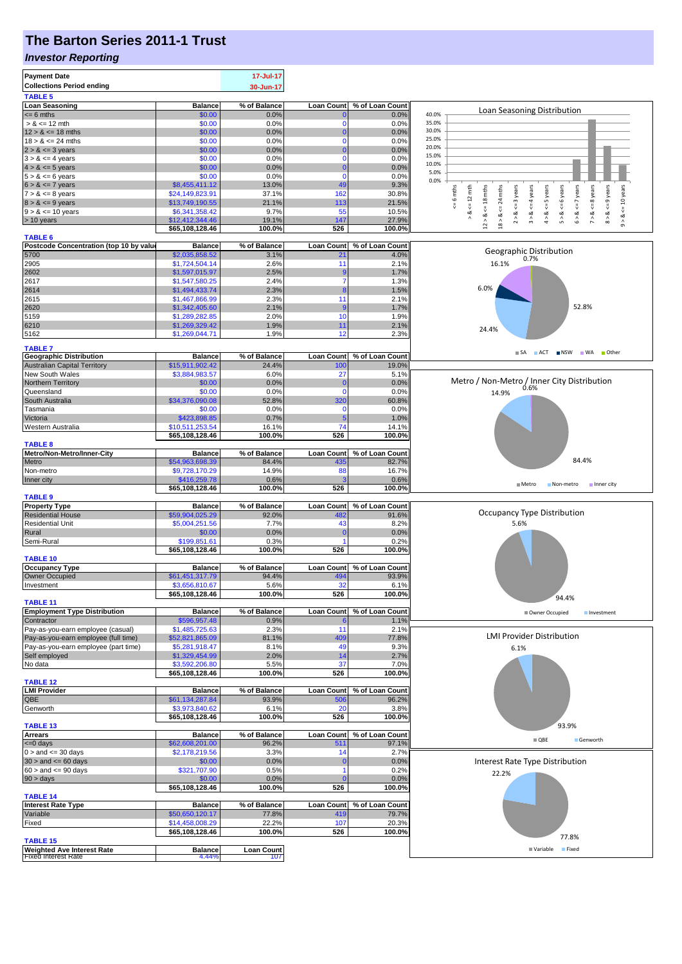## **The Barton Series 2011-1 Trust**

### *Investor Reporting*

|                                                                 |                                   | 17-Jul-17                |                              |                            |                                                                                                                                                                         |
|-----------------------------------------------------------------|-----------------------------------|--------------------------|------------------------------|----------------------------|-------------------------------------------------------------------------------------------------------------------------------------------------------------------------|
| <b>Collections Period ending</b>                                |                                   | 30-Jun-17                |                              |                            |                                                                                                                                                                         |
| <b>TABLE 5</b>                                                  |                                   |                          |                              |                            |                                                                                                                                                                         |
| <b>Loan Seasoning</b>                                           | <b>Balance</b>                    | % of Balance             | <b>Loan Count</b>            | % of Loan Count            | Loan Seasoning Distribution                                                                                                                                             |
| $= 6$ mths                                                      | \$0.00                            | 0.0%                     | $\bf{0}$                     | 0.0%                       | 40.0%                                                                                                                                                                   |
| $> 8 \le 12$ mth                                                | \$0.00                            | 0.0%                     | $\mathbf 0$                  | 0.0%                       | 35.0%<br>30.0%                                                                                                                                                          |
| $12 > 8 \le 18$ mths<br>$18 > 8 \le 24$ mths                    | \$0.00<br>\$0.00                  | 0.0%<br>0.0%             | $\mathbf{0}$<br>$\mathbf{0}$ | 0.0%                       | 25.0%                                                                                                                                                                   |
| $2 > 8 \le 3$ years                                             | \$0.00                            | 0.0%                     | $\mathbf{0}$                 | 0.0%<br>0.0%               | 20.0%                                                                                                                                                                   |
| $3 > 8 \le 4$ years                                             | \$0.00                            | 0.0%                     | $\mathbf{0}$                 | 0.0%                       | 15.0%                                                                                                                                                                   |
| $4 > 8 \le 5$ years                                             | \$0.00                            | 0.0%                     | $\Omega$                     | 0.0%                       | 10.0%                                                                                                                                                                   |
| $5 > 8 \le 6$ years                                             | \$0.00                            | 0.0%                     | $\mathbf{0}$                 | 0.0%                       | 5.0%                                                                                                                                                                    |
| $6 > 8 \le 7$ years                                             | \$8,455,411.12                    | 13.0%                    | 49                           | 9.3%                       | 0.0%                                                                                                                                                                    |
| $7 > 8 \le 8$ years                                             | \$24,149,823.91                   | 37.1%                    | 162                          | 30.8%                      | 6 years<br>years<br>9 years<br>18 mths<br>: 4 years                                                                                                                     |
| $8 > 8 \le 9$ years                                             | \$13,749,190.55                   | 21.1%                    | 113                          | 21.5%                      | $\leq$ 8 years<br>$\leq 6$ mths<br>$\Leftarrow$ 12 mth<br>$x \leq 5$ years<br>24 mths<br>$\leq$ = 3 years<br>$<=10$ years<br>$\zeta = 7$                                |
| $9 > 8 \le 10$ years                                            | \$6,341,358.42                    | 9.7%                     | 55                           | 10.5%                      | ₩<br>₩<br>₩<br>₩<br>ಹ<br>ಷ<br>ಹ<br>ಯ<br>ಂಶ<br>ಹ<br>ಷ                                                                                                                    |
| > 10 years                                                      | \$12,412,344.46                   | 19.1%                    | 147                          | 27.9%                      | $18 > 8 \leq x$<br>7 > 8<br>5 > 8<br>$\hat{z}$<br>$\stackrel{\wedge}{\scriptstyle\pi}$<br>$\hat{4}$<br>$\hat{\circ}$<br>$\stackrel{\wedge}{\circ}$<br>12 ><br>$\hat{0}$ |
|                                                                 | \$65,108,128.46                   | 100.0%                   | 526                          | 100.0%                     |                                                                                                                                                                         |
| <b>TABLE 6</b>                                                  |                                   |                          |                              |                            |                                                                                                                                                                         |
| Postcode Concentration (top 10 by value                         | <b>Balance</b>                    | % of Balance<br>3.1%     | <b>Loan Count</b>            | % of Loan Count            | Geographic Distribution                                                                                                                                                 |
| 5700<br>2905                                                    | \$2,035,858.52<br>\$1,724,504.14  | 2.6%                     | 21<br>11                     | 4.0%<br>2.1%               | 0.7%<br>16.1%                                                                                                                                                           |
| 2602                                                            | \$1,597,015.97                    | 2.5%                     | $\overline{9}$               | 1.7%                       |                                                                                                                                                                         |
| 2617                                                            | \$1,547,580.25                    | 2.4%                     | $\overline{7}$               | 1.3%                       |                                                                                                                                                                         |
| 2614                                                            | \$1,494,433.74                    | 2.3%                     | 8                            | 1.5%                       | 6.0%                                                                                                                                                                    |
| 2615                                                            | \$1,467,866.99                    | 2.3%                     | 11                           | 2.1%                       |                                                                                                                                                                         |
| 2620                                                            | \$1,342,405.60                    | 2.1%                     | -9                           | 1.7%                       | 52.8%                                                                                                                                                                   |
| 5159                                                            | \$1,289,282.85                    | 2.0%                     | 10                           | 1.9%                       |                                                                                                                                                                         |
| 6210                                                            | \$1,269,329.42                    | 1.9%                     | 11                           | 2.1%                       |                                                                                                                                                                         |
| 5162                                                            | \$1,269,044.71                    | 1.9%                     | 12                           | 2.3%                       | 24.4%                                                                                                                                                                   |
|                                                                 |                                   |                          |                              |                            |                                                                                                                                                                         |
| <b>TABLE 7</b><br><b>Geographic Distribution</b>                | <b>Balance</b>                    | % of Balance             | <b>Loan Count</b>            | % of Loan Count            | SA ACT NSW WA Other                                                                                                                                                     |
| <b>Australian Capital Territory</b>                             | \$15,911,902.42                   | 24.4%                    | 10 <sub>C</sub>              | 19.0%                      |                                                                                                                                                                         |
| New South Wales                                                 | \$3,884,983.57                    | 6.0%                     | 27                           | 5.1%                       |                                                                                                                                                                         |
| Northern Territory                                              | \$0.00                            | 0.0%                     | $\mathbf 0$                  | 0.0%                       | Metro / Non-Metro / Inner City Distribution<br>0.6%                                                                                                                     |
| Queensland                                                      | \$0.00                            | 0.0%                     | $\mathbf 0$                  | 0.0%                       | 14.9%                                                                                                                                                                   |
| South Australia                                                 | \$34,376,090.08                   | 52.8%                    | 320                          | 60.8%                      |                                                                                                                                                                         |
| Tasmania                                                        | \$0.00                            | 0.0%                     | $\mathbf 0$                  | 0.0%                       |                                                                                                                                                                         |
| Victoria                                                        | \$423,898.85                      | 0.7%                     | 5                            | 1.0%                       |                                                                                                                                                                         |
| Western Australia                                               | \$10,511,253.54                   | 16.1%                    | 74                           | 14.1%                      |                                                                                                                                                                         |
|                                                                 | \$65,108,128.46                   | 100.0%                   | 526                          | 100.0%                     |                                                                                                                                                                         |
| <b>TABLE 8</b>                                                  |                                   |                          |                              |                            |                                                                                                                                                                         |
| Metro/Non-Metro/Inner-City                                      | <b>Balance</b>                    | % of Balance             | <b>Loan Count</b>            | % of Loan Count            |                                                                                                                                                                         |
| Metro                                                           | \$54,963,698.39                   | 84.4%                    | 435                          | 82.7%                      | 84.4%                                                                                                                                                                   |
| Non-metro                                                       | \$9,728,170.29                    | 14.9%                    | 88                           | 16.7%                      |                                                                                                                                                                         |
| Inner city                                                      | \$416,259.78                      | 0.6%                     |                              | 0.6%                       | $M$ Metro<br>Non-metro<br>Inner city                                                                                                                                    |
|                                                                 | \$65,108,128.46                   | 100.0%                   | 526                          | 100.0%                     |                                                                                                                                                                         |
| <b>TABLE 9</b><br><b>Property Type</b>                          | <b>Balance</b>                    | % of Balance             | <b>Loan Count</b>            | % of Loan Count            |                                                                                                                                                                         |
| <b>Residential House</b>                                        | \$59,904,025.29                   | 92.0%                    | 482                          | 91.6%                      | Occupancy Type Distribution                                                                                                                                             |
| <b>Residential Unit</b>                                         | \$5,004,251.56                    | 7.7%                     | 43                           | 8.2%                       | 5.6%                                                                                                                                                                    |
| Rural                                                           | \$0.00                            | 0.0%                     | C                            | 0.0%                       |                                                                                                                                                                         |
| Semi-Rural                                                      | \$199,851.61                      | 0.3%                     | $\overline{1}$               | 0.2%                       |                                                                                                                                                                         |
|                                                                 | \$65,108,128.46                   |                          | 526                          |                            |                                                                                                                                                                         |
|                                                                 |                                   | 100.0%                   |                              | 100.0%                     |                                                                                                                                                                         |
| TABLE <sub>10</sub>                                             |                                   |                          |                              |                            |                                                                                                                                                                         |
| <b>Occupancy Type</b>                                           | <b>Balance</b>                    | % of Balance             |                              | Loan Count % of Loan Count |                                                                                                                                                                         |
| <b>Owner Occupied</b>                                           | \$61,451,317.79                   | 94.4%                    | 494                          | 93.9%                      |                                                                                                                                                                         |
| Investment                                                      | \$3,656,810.67                    | 5.6%                     |                              | 6.1%                       |                                                                                                                                                                         |
|                                                                 | \$65,108,128.46                   | 100.0%                   | 526                          | 100.0%                     | 94.4%                                                                                                                                                                   |
| <b>TABLE 11</b>                                                 |                                   |                          |                              |                            |                                                                                                                                                                         |
| <b>Employment Type Distribution</b>                             | <b>Balance</b>                    | % of Balance             | <b>Loan Count</b>            | % of Loan Count            | Owner Occupied<br>Investment                                                                                                                                            |
| Contractor                                                      | \$596,957.48                      | 0.9%                     |                              | 1.1%                       |                                                                                                                                                                         |
| Pay-as-you-earn employee (casual)                               | \$1,485,725.63                    | 2.3%                     | 11                           | 2.1%                       | <b>LMI Provider Distribution</b>                                                                                                                                        |
| Pay-as-you-earn employee (full time)                            | \$52,821,865.09                   | 81.1%                    | 409                          | 77.8%                      |                                                                                                                                                                         |
| Pay-as-you-earn employee (part time)                            | \$5,281,918.47                    | 8.1%                     | 49                           | 9.3%                       | 6.1%                                                                                                                                                                    |
| Self employed                                                   | \$1,329,454.99<br>\$3,592,206.80  | 2.0%                     | 14<br>37                     | 2.7%                       |                                                                                                                                                                         |
| No data                                                         | \$65,108,128.46                   | 5.5%<br>100.0%           | 526                          | 7.0%<br>100.0%             |                                                                                                                                                                         |
| <b>TABLE 12</b>                                                 |                                   |                          |                              |                            |                                                                                                                                                                         |
| <b>LMI Provider</b>                                             | <b>Balance</b>                    | % of Balance             | Loan Count                   | % of Loan Count            |                                                                                                                                                                         |
| QBE                                                             | \$61,134,287.84                   | 93.9%                    | 506                          | 96.2%                      |                                                                                                                                                                         |
| Genworth                                                        | \$3,973,840.62                    | 6.1%                     | 20                           | 3.8%                       |                                                                                                                                                                         |
|                                                                 | \$65,108,128.46                   | 100.0%                   | 526                          | 100.0%                     |                                                                                                                                                                         |
| TABLE <sub>13</sub>                                             |                                   |                          |                              |                            | 93.9%                                                                                                                                                                   |
| <b>Arrears</b>                                                  | <b>Balance</b>                    | % of Balance             | <b>Loan Count</b>            | % of Loan Count            | $\blacksquare$ QBE<br>Genworth                                                                                                                                          |
| $= 0$ days                                                      | \$62,608,201.00                   | 96.2%                    | 511                          | 97.1%                      |                                                                                                                                                                         |
| $0 >$ and $\leq$ 30 days                                        | \$2,178,219.56                    | 3.3%                     | 14                           | 2.7%                       |                                                                                                                                                                         |
| $30 >$ and $\leq 60$ days                                       | \$0.00                            | 0.0%                     | $\overline{0}$               | 0.0%                       | Interest Rate Type Distribution                                                                                                                                         |
| $60 >$ and $\leq 90$ days                                       | \$321,707.90                      | 0.5%                     | 1                            | 0.2%                       | 22.2%                                                                                                                                                                   |
| 90 > days                                                       | \$0.00                            | 0.0%                     | $\Omega$                     | 0.0%                       |                                                                                                                                                                         |
|                                                                 | \$65,108,128.46                   | 100.0%                   | 526                          | 100.0%                     |                                                                                                                                                                         |
| <b>TABLE 14</b>                                                 |                                   |                          |                              |                            |                                                                                                                                                                         |
| <b>Interest Rate Type</b><br>Variable                           | <b>Balance</b><br>\$50,650,120.17 | % of Balance<br>77.8%    | <b>Loan Count</b><br>419     | % of Loan Count<br>79.7%   |                                                                                                                                                                         |
| Fixed                                                           | \$14,458,008.29                   | 22.2%                    | 107                          | 20.3%                      |                                                                                                                                                                         |
|                                                                 | \$65,108,128.46                   | 100.0%                   | 526                          | 100.0%                     |                                                                                                                                                                         |
| <b>TABLE 15</b>                                                 |                                   |                          |                              |                            | 77.8%                                                                                                                                                                   |
| <b>Weighted Ave Interest Rate</b><br><b>Fixed Interest Rate</b> | <b>Balance</b><br>4.44%           | <b>Loan Count</b><br>107 |                              |                            | Variable Fixed                                                                                                                                                          |